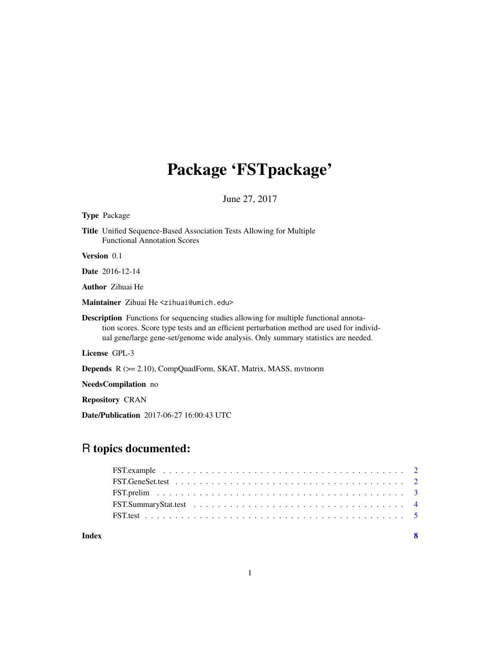## Package 'FSTpackage'

June 27, 2017

#### Type Package

Title Unified Sequence-Based Association Tests Allowing for Multiple Functional Annotation Scores

Version 0.1

Date 2016-12-14

Author Zihuai He

Maintainer Zihuai He <zihuai@umich.edu>

Description Functions for sequencing studies allowing for multiple functional annotation scores. Score type tests and an efficient perturbation method are used for individual gene/large gene-set/genome wide analysis. Only summary statistics are needed.

License GPL-3

Depends R (>= 2.10), CompQuadForm, SKAT, Matrix, MASS, mvtnorm

NeedsCompilation no

Repository CRAN

Date/Publication 2017-06-27 16:00:43 UTC

### R topics documented:

| Index |  |
|-------|--|
|       |  |
|       |  |
|       |  |
|       |  |
|       |  |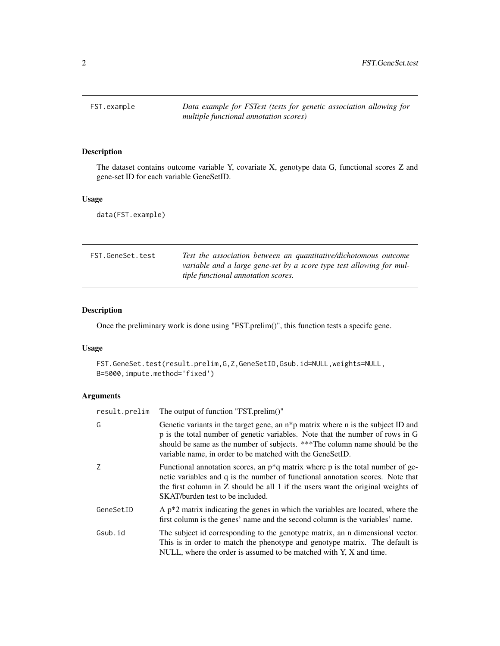<span id="page-1-0"></span>FST.example *Data example for FSTest (tests for genetic association allowing for multiple functional annotation scores)*

#### Description

The dataset contains outcome variable Y, covariate X, genotype data G, functional scores Z and gene-set ID for each variable GeneSetID.

#### Usage

data(FST.example)

| FST.GeneSet.test | Test the association between an quantitative/dichotomous outcome     |
|------------------|----------------------------------------------------------------------|
|                  | variable and a large gene-set by a score type test allowing for mul- |
|                  | <i>tiple functional annotation scores.</i>                           |

#### Description

Once the preliminary work is done using "FST.prelim()", this function tests a specifc gene.

#### Usage

```
FST.GeneSet.test(result.prelim,G,Z,GeneSetID,Gsub.id=NULL,weights=NULL,
B=5000,impute.method='fixed')
```
#### Arguments

| result.prelim | The output of function "FST.prelim()"                                                                                                                                                                                                                                                                                     |
|---------------|---------------------------------------------------------------------------------------------------------------------------------------------------------------------------------------------------------------------------------------------------------------------------------------------------------------------------|
| G             | Genetic variants in the target gene, an n <sup>*</sup> p matrix where n is the subject ID and<br>p is the total number of genetic variables. Note that the number of rows in G<br>should be same as the number of subjects. ***The column name should be the<br>variable name, in order to be matched with the GeneSetID. |
| Ζ             | Functional annotation scores, an $p^*q$ matrix where p is the total number of ge-<br>netic variables and q is the number of functional annotation scores. Note that<br>the first column in Z should be all 1 if the users want the original weights of<br>SKAT/burden test to be included.                                |
| GeneSetID     | A $p^*2$ matrix indicating the genes in which the variables are located, where the<br>first column is the genes' name and the second column is the variables' name.                                                                                                                                                       |
| Gsub.id       | The subject id corresponding to the genotype matrix, an n dimensional vector.<br>This is in order to match the phenotype and genotype matrix. The default is<br>NULL, where the order is assumed to be matched with Y, X and time.                                                                                        |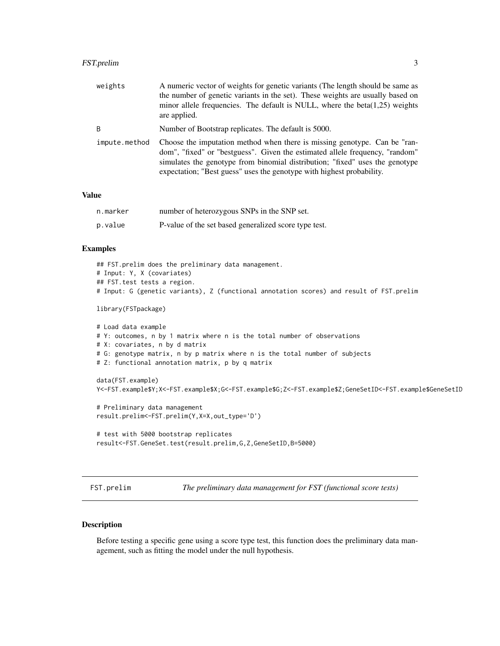#### <span id="page-2-0"></span>FST.prelim 3

| weights       | A numeric vector of weights for genetic variants (The length should be same as<br>the number of genetic variants in the set). These weights are usually based on<br>minor allele frequencies. The default is NULL, where the beta $(1,25)$ weights<br>are applied.                                                 |
|---------------|--------------------------------------------------------------------------------------------------------------------------------------------------------------------------------------------------------------------------------------------------------------------------------------------------------------------|
| B             | Number of Bootstrap replicates. The default is 5000.                                                                                                                                                                                                                                                               |
| impute.method | Choose the imputation method when there is missing genotype. Can be "ran-<br>dom", "fixed" or "bestguess". Given the estimated allele frequency, "random"<br>simulates the genotype from binomial distribution; "fixed" uses the genotype<br>expectation; "Best guess" uses the genotype with highest probability. |

#### Value

| n.marker | number of heterozygous SNPs in the SNP set.           |
|----------|-------------------------------------------------------|
| p.value  | P-value of the set based generalized score type test. |

#### Examples

```
## FST.prelim does the preliminary data management.
# Input: Y, X (covariates)
## FST.test tests a region.
# Input: G (genetic variants), Z (functional annotation scores) and result of FST.prelim
library(FSTpackage)
# Load data example
# Y: outcomes, n by 1 matrix where n is the total number of observations
# X: covariates, n by d matrix
# G: genotype matrix, n by p matrix where n is the total number of subjects
# Z: functional annotation matrix, p by q matrix
data(FST.example)
Y<-FST.example$Y;X<-FST.example$X;G<-FST.example$G;Z<-FST.example$Z;GeneSetID<-FST.example$GeneSetID
# Preliminary data management
result.prelim<-FST.prelim(Y,X=X,out_type='D')
# test with 5000 bootstrap replicates
result<-FST.GeneSet.test(result.prelim,G,Z,GeneSetID,B=5000)
```
FST.prelim *The preliminary data management for FST (functional score tests)*

#### Description

Before testing a specific gene using a score type test, this function does the preliminary data management, such as fitting the model under the null hypothesis.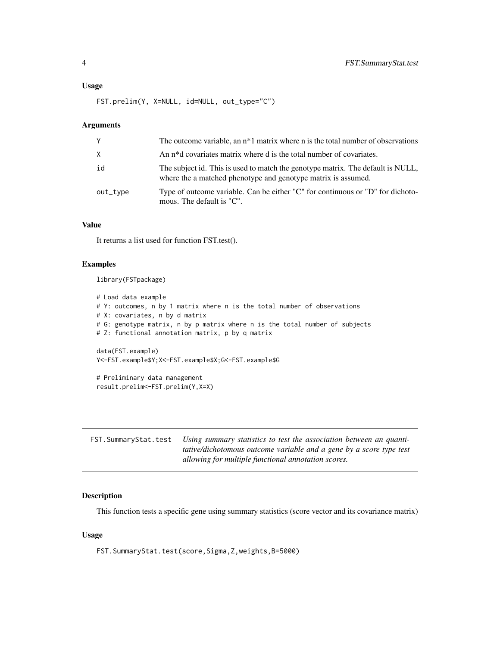#### <span id="page-3-0"></span>Usage

FST.prelim(Y, X=NULL, id=NULL, out\_type="C")

#### Arguments

| Y        | The outcome variable, an $n*1$ matrix where n is the total number of observations                                                                |
|----------|--------------------------------------------------------------------------------------------------------------------------------------------------|
| X        | An n <sup>*</sup> d covariates matrix where d is the total number of covariates.                                                                 |
| id       | The subject id. This is used to match the genotype matrix. The default is NULL,<br>where the a matched phenotype and genotype matrix is assumed. |
| out_type | Type of outcome variable. Can be either "C" for continuous or "D" for dichoto-<br>mous. The default is "C".                                      |

#### Value

It returns a list used for function FST.test().

#### Examples

library(FSTpackage)

```
# Load data example
# Y: outcomes, n by 1 matrix where n is the total number of observations
# X: covariates, n by d matrix
# G: genotype matrix, n by p matrix where n is the total number of subjects
# Z: functional annotation matrix, p by q matrix
data(FST.example)
Y<-FST.example$Y;X<-FST.example$X;G<-FST.example$G
# Preliminary data management
result.prelim<-FST.prelim(Y,X=X)
```

| FST. Summary Stat. test Using summary statistics to test the association between an quanti- |
|---------------------------------------------------------------------------------------------|
| <i>tative/dichotomous outcome variable and a gene by a score type test</i>                  |
| allowing for multiple functional annotation scores.                                         |

#### Description

This function tests a specific gene using summary statistics (score vector and its covariance matrix)

#### Usage

FST.SummaryStat.test(score,Sigma,Z,weights,B=5000)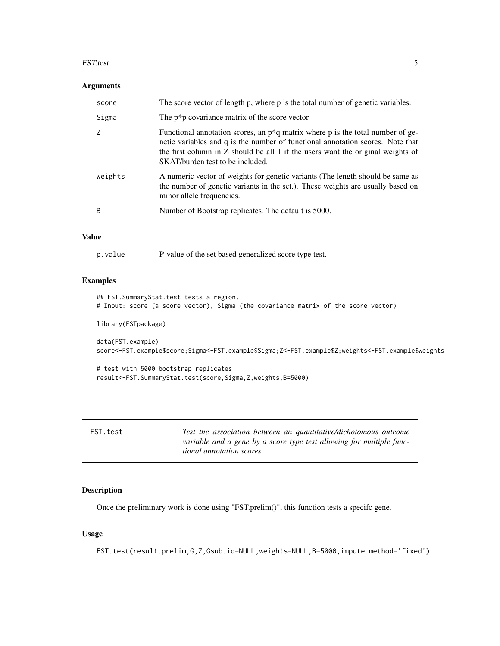#### <span id="page-4-0"></span>FST.test 5

#### Arguments

| score   | The score vector of length p, where p is the total number of genetic variables.                                                                                                                                                                                                              |
|---------|----------------------------------------------------------------------------------------------------------------------------------------------------------------------------------------------------------------------------------------------------------------------------------------------|
| Sigma   | The $p^*p$ covariance matrix of the score vector                                                                                                                                                                                                                                             |
| 7       | Functional annotation scores, an $p^*q$ matrix where p is the total number of ge-<br>netic variables and q is the number of functional annotation scores. Note that<br>the first column in $Z$ should be all 1 if the users want the original weights of<br>SKAT/burden test to be included. |
| weights | A numeric vector of weights for genetic variants (The length should be same as<br>the number of genetic variants in the set.). These weights are usually based on<br>minor allele frequencies.                                                                                               |
| B       | Number of Bootstrap replicates. The default is 5000.                                                                                                                                                                                                                                         |

#### Value

| p.value |  | P-value of the set based generalized score type test. |
|---------|--|-------------------------------------------------------|
|         |  |                                                       |

#### Examples

```
## FST.SummaryStat.test tests a region.
# Input: score (a score vector), Sigma (the covariance matrix of the score vector)
library(FSTpackage)
data(FST.example)
score<-FST.example$score;Sigma<-FST.example$Sigma;Z<-FST.example$Z;weights<-FST.example$weights
# test with 5000 bootstrap replicates
result<-FST.SummaryStat.test(score,Sigma,Z,weights,B=5000)
```

| FST.test | Test the association between an quantitative/dichotomous outcome     |
|----------|----------------------------------------------------------------------|
|          | variable and a gene by a score type test allowing for multiple func- |
|          | <i>tional annotation scores.</i>                                     |

#### Description

Once the preliminary work is done using "FST.prelim()", this function tests a specifc gene.

#### Usage

FST.test(result.prelim,G,Z,Gsub.id=NULL,weights=NULL,B=5000,impute.method='fixed')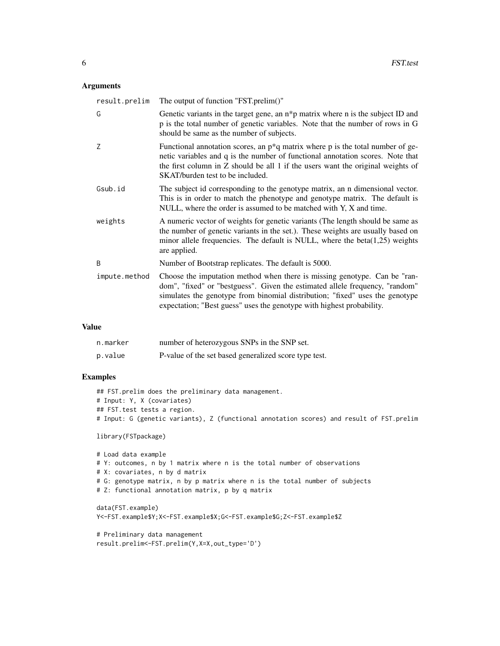#### Arguments

| result.prelim | The output of function "FST.prelim()"                                                                                                                                                                                                                                                                              |
|---------------|--------------------------------------------------------------------------------------------------------------------------------------------------------------------------------------------------------------------------------------------------------------------------------------------------------------------|
| G             | Genetic variants in the target gene, an $n * p$ matrix where n is the subject ID and<br>p is the total number of genetic variables. Note that the number of rows in G<br>should be same as the number of subjects.                                                                                                 |
| Z             | Functional annotation scores, an $p^*q$ matrix where p is the total number of ge-<br>netic variables and q is the number of functional annotation scores. Note that<br>the first column in $Z$ should be all 1 if the users want the original weights of<br>SKAT/burden test to be included.                       |
| Gsub.id       | The subject id corresponding to the genotype matrix, an n dimensional vector.<br>This is in order to match the phenotype and genotype matrix. The default is<br>NULL, where the order is assumed to be matched with Y, X and time.                                                                                 |
| weights       | A numeric vector of weights for genetic variants (The length should be same as<br>the number of genetic variants in the set.). These weights are usually based on<br>minor allele frequencies. The default is NULL, where the beta $(1,25)$ weights<br>are applied.                                                |
| B             | Number of Bootstrap replicates. The default is 5000.                                                                                                                                                                                                                                                               |
| impute.method | Choose the imputation method when there is missing genotype. Can be "ran-<br>dom", "fixed" or "bestguess". Given the estimated allele frequency, "random"<br>simulates the genotype from binomial distribution; "fixed" uses the genotype<br>expectation; "Best guess" uses the genotype with highest probability. |

#### Value

| n.marker | number of heterozygous SNPs in the SNP set.           |
|----------|-------------------------------------------------------|
| p.value  | P-value of the set based generalized score type test. |

#### Examples

```
## FST.prelim does the preliminary data management.
# Input: Y, X (covariates)
## FST.test tests a region.
# Input: G (genetic variants), Z (functional annotation scores) and result of FST.prelim
```
library(FSTpackage)

```
# Load data example
# Y: outcomes, n by 1 matrix where n is the total number of observations
# X: covariates, n by d matrix
# G: genotype matrix, n by p matrix where n is the total number of subjects
# Z: functional annotation matrix, p by q matrix
data(FST.example)
Y<-FST.example$Y;X<-FST.example$X;G<-FST.example$G;Z<-FST.example$Z
```

```
# Preliminary data management
result.prelim<-FST.prelim(Y,X=X,out_type='D')
```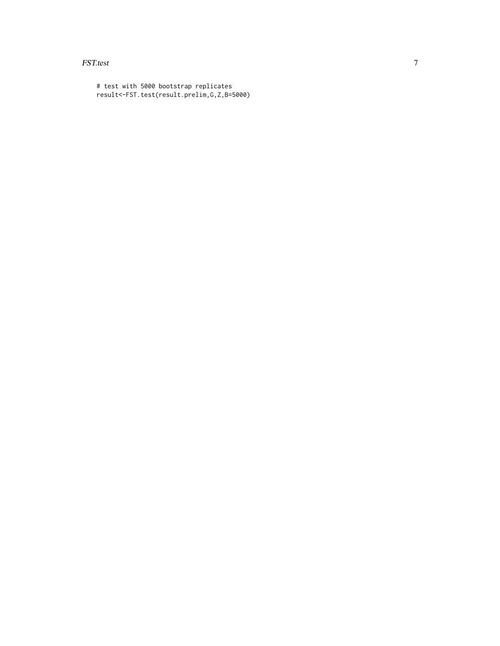#### FST.test 7

# test with 5000 bootstrap replicates result<-FST.test(result.prelim,G,Z,B=5000)